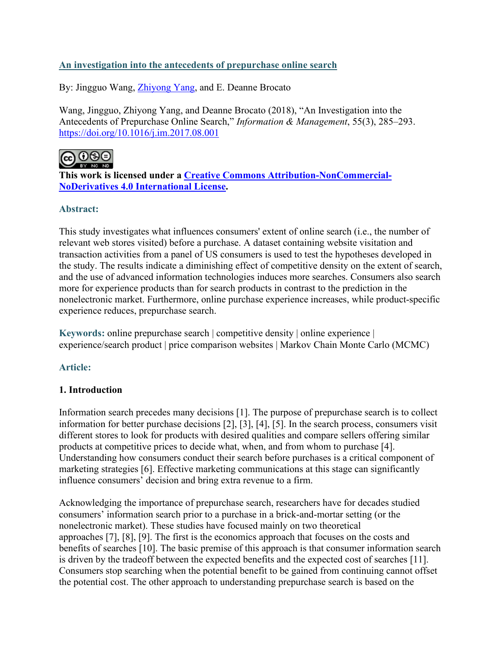# **An investigation into the antecedents of prepurchase online search**

By: Jingguo Wang, [Zhiyong Yang,](https://libres.uncg.edu/ir/uncg/clist.aspx?id=25898) and E. Deanne Brocato

Wang, Jingguo, Zhiyong Yang, and Deanne Brocato (2018), "An Investigation into the Antecedents of Prepurchase Online Search," *Information & Management*, 55(3), 285–293. <https://doi.org/10.1016/j.im.2017.08.001>



**This work is licensed under a [Creative Commons Attribution-NonCommercial-](http://creativecommons.org/licenses/by-nc-nd/4.0/)[NoDerivatives 4.0 International License.](http://creativecommons.org/licenses/by-nc-nd/4.0/)**

# **Abstract:**

This study investigates what influences consumers' extent of online search (i.e., the number of relevant web stores visited) before a purchase. A dataset containing website visitation and transaction activities from a panel of US consumers is used to test the hypotheses developed in the study. The results indicate a diminishing effect of competitive density on the extent of search, and the use of advanced information technologies induces more searches. Consumers also search more for experience products than for search products in contrast to the prediction in the nonelectronic market. Furthermore, online purchase experience increases, while product-specific experience reduces, prepurchase search.

**Keywords:** online prepurchase search | competitive density | online experience | experience/search product | price comparison websites | Markov Chain Monte Carlo (MCMC)

# **Article:**

### **1. Introduction**

Information search precedes many decisions [1]. The purpose of prepurchase search is to collect information for better purchase decisions [2], [3], [4], [5]. In the search process, consumers visit different stores to look for products with desired qualities and compare sellers offering similar products at competitive prices to decide what, when, and from whom to purchase [4]. Understanding how consumers conduct their search before purchases is a critical component of marketing strategies [6]. Effective marketing communications at this stage can significantly influence consumers' decision and bring extra revenue to a firm.

Acknowledging the importance of prepurchase search, researchers have for decades studied consumers' information search prior to a purchase in a brick-and-mortar setting (or the nonelectronic market). These studies have focused mainly on two theoretical approaches [7], [8], [9]. The first is the economics approach that focuses on the costs and benefits of searches [10]. The basic premise of this approach is that consumer information search is driven by the tradeoff between the expected benefits and the expected cost of searches [11]. Consumers stop searching when the potential benefit to be gained from continuing cannot offset the potential cost. The other approach to understanding prepurchase search is based on the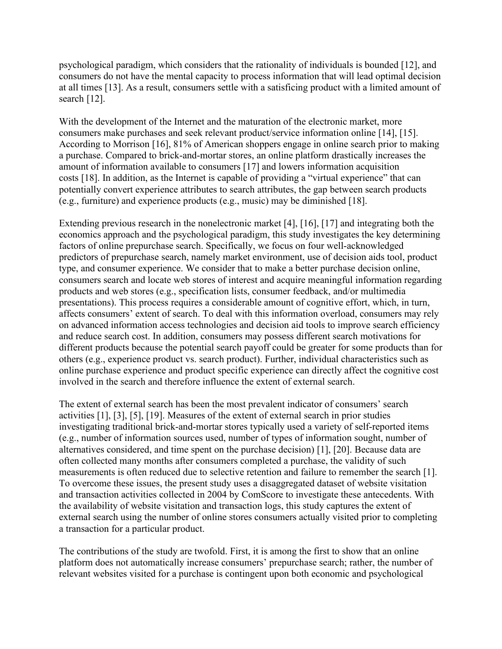psychological paradigm, which considers that the rationality of individuals is bounded [12], and consumers do not have the mental capacity to process information that will lead optimal decision at all times [13]. As a result, consumers settle with a satisficing product with a limited amount of search [12].

With the development of the Internet and the maturation of the electronic market, more consumers make purchases and seek relevant product/service information online [14], [15]. According to Morrison [16], 81% of American shoppers engage in online search prior to making a purchase. Compared to brick-and-mortar stores, an online platform drastically increases the amount of information available to consumers [17] and lowers information acquisition costs [18]. In addition, as the Internet is capable of providing a "virtual experience" that can potentially convert experience attributes to search attributes, the gap between search products (e.g., furniture) and experience products (e.g., music) may be diminished [18].

Extending previous research in the nonelectronic market [4], [16], [17] and integrating both the economics approach and the psychological paradigm, this study investigates the key determining factors of online prepurchase search. Specifically, we focus on four well-acknowledged predictors of prepurchase search, namely market environment, use of decision aids tool, product type, and consumer experience. We consider that to make a better purchase decision online, consumers search and locate web stores of interest and acquire meaningful information regarding products and web stores (e.g., specification lists, consumer feedback, and/or multimedia presentations). This process requires a considerable amount of cognitive effort, which, in turn, affects consumers' extent of search. To deal with this information overload, consumers may rely on advanced information access technologies and decision aid tools to improve search efficiency and reduce search cost. In addition, consumers may possess different search motivations for different products because the potential search payoff could be greater for some products than for others (e.g., experience product vs. search product). Further, individual characteristics such as online purchase experience and product specific experience can directly affect the cognitive cost involved in the search and therefore influence the extent of external search.

The extent of external search has been the most prevalent indicator of consumers' search activities [1], [3], [5], [19]. Measures of the extent of external search in prior studies investigating traditional brick-and-mortar stores typically used a variety of self-reported items (e.g., number of information sources used, number of types of information sought, number of alternatives considered, and time spent on the purchase decision) [1], [20]. Because data are often collected many months after consumers completed a purchase, the validity of such measurements is often reduced due to selective retention and failure to remember the search [1]. To overcome these issues, the present study uses a disaggregated dataset of website visitation and transaction activities collected in 2004 by ComScore to investigate these antecedents. With the availability of website visitation and transaction logs, this study captures the extent of external search using the number of online stores consumers actually visited prior to completing a transaction for a particular product.

The contributions of the study are twofold. First, it is among the first to show that an online platform does not automatically increase consumers' prepurchase search; rather, the number of relevant websites visited for a purchase is contingent upon both economic and psychological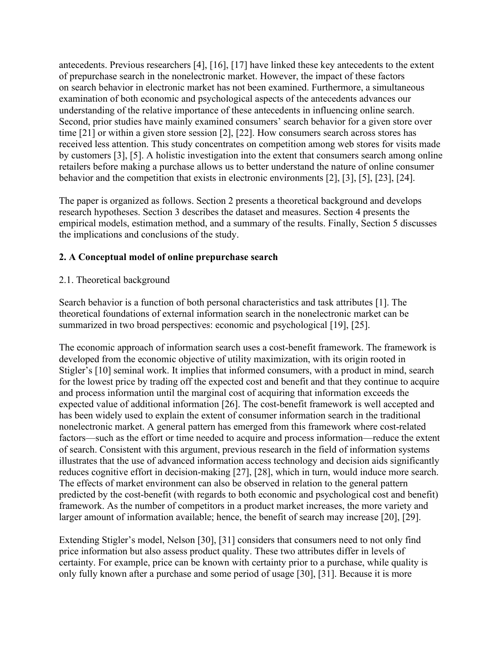antecedents. Previous researchers [4], [16], [17] have linked these key antecedents to the extent of prepurchase search in the nonelectronic market. However, the impact of these factors on search behavior in electronic market has not been examined. Furthermore, a simultaneous examination of both economic and psychological aspects of the antecedents advances our understanding of the relative importance of these antecedents in influencing online search. Second, prior studies have mainly examined consumers' search behavior for a given store over time [21] or within a given store session [2], [22]. How consumers search across stores has received less attention. This study concentrates on competition among web stores for visits made by customers [3], [5]. A holistic investigation into the extent that consumers search among online retailers before making a purchase allows us to better understand the nature of online consumer behavior and the competition that exists in electronic environments [2], [3], [5], [23], [24].

The paper is organized as follows. Section 2 presents a theoretical background and develops research hypotheses. Section 3 describes the dataset and measures. Section 4 presents the empirical models, estimation method, and a summary of the results. Finally, Section 5 discusses the implications and conclusions of the study.

# **2. A Conceptual model of online prepurchase search**

# 2.1. Theoretical background

Search behavior is a function of both personal characteristics and task attributes [1]. The theoretical foundations of external information search in the nonelectronic market can be summarized in two broad perspectives: economic and psychological [19], [25].

The economic approach of information search uses a cost-benefit framework. The framework is developed from the economic objective of utility maximization, with its origin rooted in Stigler's [10] seminal work. It implies that informed consumers, with a product in mind, search for the lowest price by trading off the expected cost and benefit and that they continue to acquire and process information until the marginal cost of acquiring that information exceeds the expected value of additional information [26]. The cost-benefit framework is well accepted and has been widely used to explain the extent of consumer information search in the traditional nonelectronic market. A general pattern has emerged from this framework where cost-related factors—such as the effort or time needed to acquire and process information—reduce the extent of search. Consistent with this argument, previous research in the field of information systems illustrates that the use of advanced information access technology and decision aids significantly reduces cognitive effort in decision-making [27], [28], which in turn, would induce more search. The effects of market environment can also be observed in relation to the general pattern predicted by the cost-benefit (with regards to both economic and psychological cost and benefit) framework. As the number of competitors in a product market increases, the more variety and larger amount of information available; hence, the benefit of search may increase [20], [29].

Extending Stigler's model, Nelson [30], [31] considers that consumers need to not only find price information but also assess product quality. These two attributes differ in levels of certainty. For example, price can be known with certainty prior to a purchase, while quality is only fully known after a purchase and some period of usage [30], [31]. Because it is more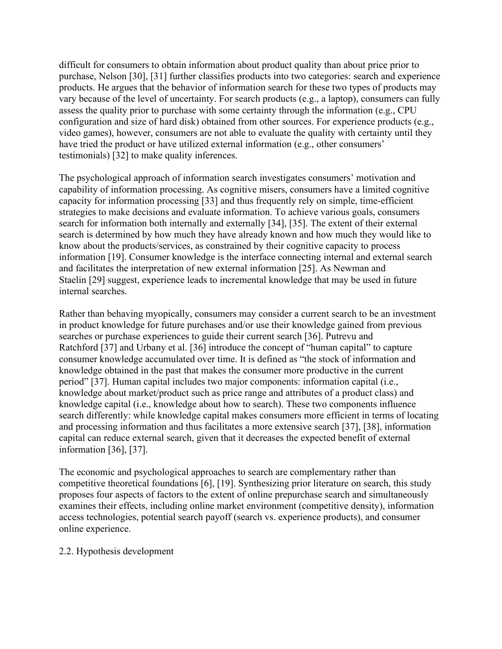difficult for consumers to obtain information about product quality than about price prior to purchase, Nelson [30], [31] further classifies products into two categories: search and experience products. He argues that the behavior of information search for these two types of products may vary because of the level of uncertainty. For search products (e.g., a laptop), consumers can fully assess the quality prior to purchase with some certainty through the information (e.g., CPU configuration and size of hard disk) obtained from other sources. For experience products (e.g., video games), however, consumers are not able to evaluate the quality with certainty until they have tried the product or have utilized external information (e.g., other consumers' testimonials) [32] to make quality inferences.

The psychological approach of information search investigates consumers' motivation and capability of information processing. As cognitive misers, consumers have a limited cognitive capacity for information processing [33] and thus frequently rely on simple, time-efficient strategies to make decisions and evaluate information. To achieve various goals, consumers search for information both internally and externally [34], [35]. The extent of their external search is determined by how much they have already known and how much they would like to know about the products/services, as constrained by their cognitive capacity to process information [19]. Consumer knowledge is the interface connecting internal and external search and facilitates the interpretation of new external information [25]. As Newman and Staelin [29] suggest, experience leads to incremental knowledge that may be used in future internal searches.

Rather than behaving myopically, consumers may consider a current search to be an investment in product knowledge for future purchases and/or use their knowledge gained from previous searches or purchase experiences to guide their current search [36]. Putrevu and Ratchford [37] and Urbany et al. [36] introduce the concept of "human capital" to capture consumer knowledge accumulated over time. It is defined as "the stock of information and knowledge obtained in the past that makes the consumer more productive in the current period" [37]. Human capital includes two major components: information capital (i.e., knowledge about market/product such as price range and attributes of a product class) and knowledge capital (i.e., knowledge about how to search). These two components influence search differently: while knowledge capital makes consumers more efficient in terms of locating and processing information and thus facilitates a more extensive search [37], [38], information capital can reduce external search, given that it decreases the expected benefit of external information [36], [37].

The economic and psychological approaches to search are complementary rather than competitive theoretical foundations [6], [19]. Synthesizing prior literature on search, this study proposes four aspects of factors to the extent of online prepurchase search and simultaneously examines their effects, including online market environment (competitive density), information access technologies, potential search payoff (search vs. experience products), and consumer online experience.

#### 2.2. Hypothesis development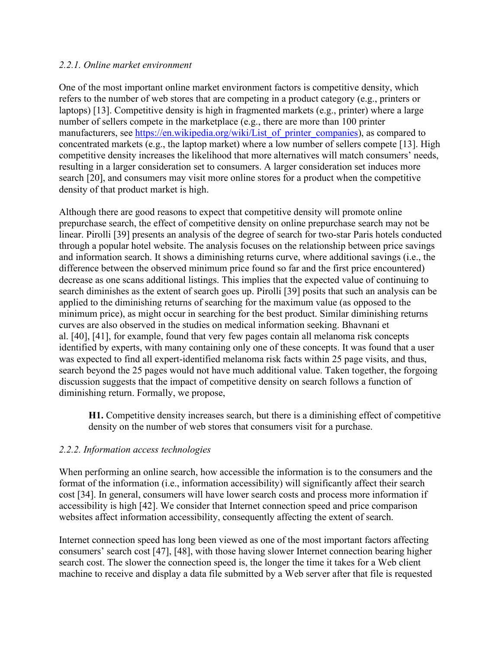### *2.2.1. Online market environment*

One of the most important online market environment factors is competitive density, which refers to the number of web stores that are competing in a product category (e.g., printers or laptops) [13]. Competitive density is high in fragmented markets (e.g., printer) where a large number of sellers compete in the marketplace (e.g., there are more than 100 printer manufacturers, see https://en.wikipedia.org/wiki/List of printer companies), as compared to concentrated markets (e.g., the laptop market) where a low number of sellers compete [13]. High competitive density increases the likelihood that more alternatives will match consumers' needs, resulting in a larger consideration set to consumers. A larger consideration set induces more search [20], and consumers may visit more online stores for a product when the competitive density of that product market is high.

Although there are good reasons to expect that competitive density will promote online prepurchase search, the effect of competitive density on online prepurchase search may not be linear. Pirolli [39] presents an analysis of the degree of search for two-star Paris hotels conducted through a popular hotel website. The analysis focuses on the relationship between price savings and information search. It shows a diminishing returns curve, where additional savings (i.e., the difference between the observed minimum price found so far and the first price encountered) decrease as one scans additional listings. This implies that the expected value of continuing to search diminishes as the extent of search goes up. Pirolli [39] posits that such an analysis can be applied to the diminishing returns of searching for the maximum value (as opposed to the minimum price), as might occur in searching for the best product. Similar diminishing returns curves are also observed in the studies on medical information seeking. Bhavnani et al. [40], [41], for example, found that very few pages contain all melanoma risk concepts identified by experts, with many containing only one of these concepts. It was found that a user was expected to find all expert-identified melanoma risk facts within 25 page visits, and thus, search beyond the 25 pages would not have much additional value. Taken together, the forgoing discussion suggests that the impact of competitive density on search follows a function of diminishing return. Formally, we propose,

**H1.** Competitive density increases search, but there is a diminishing effect of competitive density on the number of web stores that consumers visit for a purchase.

# *2.2.2. Information access technologies*

When performing an online search, how accessible the information is to the consumers and the format of the information (i.e., information accessibility) will significantly affect their search cost [34]. In general, consumers will have lower search costs and process more information if accessibility is high [42]. We consider that Internet connection speed and price comparison websites affect information accessibility, consequently affecting the extent of search.

Internet connection speed has long been viewed as one of the most important factors affecting consumers' search cost [47], [48], with those having slower Internet connection bearing higher search cost. The slower the connection speed is, the longer the time it takes for a Web client machine to receive and display a data file submitted by a Web server after that file is requested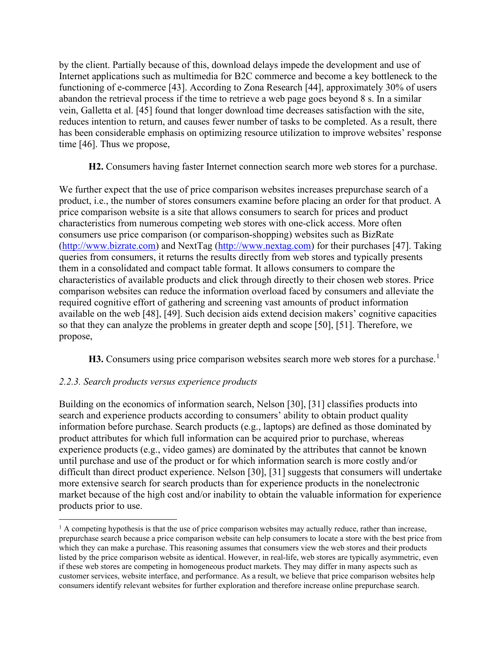by the client. Partially because of this, download delays impede the development and use of Internet applications such as multimedia for B2C commerce and become a key bottleneck to the functioning of e-commerce [43]. According to Zona Research [44], approximately 30% of users abandon the retrieval process if the time to retrieve a web page goes beyond 8 s. In a similar vein, Galletta et al. [45] found that longer download time decreases satisfaction with the site, reduces intention to return, and causes fewer number of tasks to be completed. As a result, there has been considerable emphasis on optimizing resource utilization to improve websites' response time [46]. Thus we propose,

**H2.** Consumers having faster Internet connection search more web stores for a purchase.

We further expect that the use of price comparison websites increases prepurchase search of a product, i.e., the number of stores consumers examine before placing an order for that product. A price comparison website is a site that allows consumers to search for prices and product characteristics from numerous competing web stores with one-click access. More often consumers use price comparison (or comparison-shopping) websites such as BizRate [\(http://www.bizrate.com\)](http://www.bizrate.com/) and NextTag [\(http://www.nextag.com\)](http://www.nextag.com/) for their purchases [47]. Taking queries from consumers, it returns the results directly from web stores and typically presents them in a consolidated and compact table format. It allows consumers to compare the characteristics of available products and click through directly to their chosen web stores. Price comparison websites can reduce the information overload faced by consumers and alleviate the required cognitive effort of gathering and screening vast amounts of product information available on the web [48], [49]. Such decision aids extend decision makers' cognitive capacities so that they can analyze the problems in greater depth and scope [50], [51]. Therefore, we propose,

**H3.** Consumers using price comparison websites search more web stores for a purchase.<sup>[1](#page-5-0)</sup>

# *2.2.3. Search products versus experience products*

Building on the economics of information search, Nelson [30], [31] classifies products into search and experience products according to consumers' ability to obtain product quality information before purchase. Search products (e.g., laptops) are defined as those dominated by product attributes for which full information can be acquired prior to purchase, whereas experience products (e.g., video games) are dominated by the attributes that cannot be known until purchase and use of the product or for which information search is more costly and/or difficult than direct product experience. Nelson [30], [31] suggests that consumers will undertake more extensive search for search products than for experience products in the nonelectronic market because of the high cost and/or inability to obtain the valuable information for experience products prior to use.

<span id="page-5-0"></span> $<sup>1</sup>$  A competing hypothesis is that the use of price comparison websites may actually reduce, rather than increase,</sup> prepurchase search because a price comparison website can help consumers to locate a store with the best price from which they can make a purchase. This reasoning assumes that consumers view the web stores and their products listed by the price comparison website as identical. However, in real-life, web stores are typically asymmetric, even if these web stores are competing in homogeneous product markets. They may differ in many aspects such as customer services, website interface, and performance. As a result, we believe that price comparison websites help consumers identify relevant websites for further exploration and therefore increase online prepurchase search.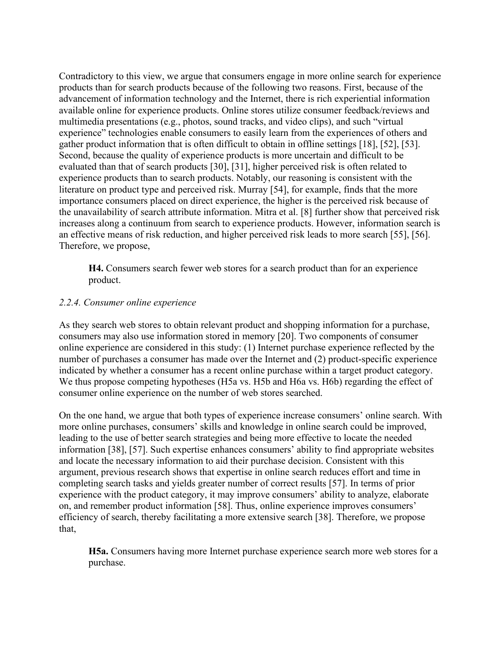Contradictory to this view, we argue that consumers engage in more online search for experience products than for search products because of the following two reasons. First, because of the advancement of information technology and the Internet, there is rich experiential information available online for experience products. Online stores utilize consumer feedback/reviews and multimedia presentations (e.g., photos, sound tracks, and video clips), and such "virtual experience" technologies enable consumers to easily learn from the experiences of others and gather product information that is often difficult to obtain in offline settings [18], [52], [53]. Second, because the quality of experience products is more uncertain and difficult to be evaluated than that of search products [30], [31], higher perceived risk is often related to experience products than to search products. Notably, our reasoning is consistent with the literature on product type and perceived risk. Murray [54], for example, finds that the more importance consumers placed on direct experience, the higher is the perceived risk because of the unavailability of search attribute information. Mitra et al. [8] further show that perceived risk increases along a continuum from search to experience products. However, information search is an effective means of risk reduction, and higher perceived risk leads to more search [55], [56]. Therefore, we propose,

**H4.** Consumers search fewer web stores for a search product than for an experience product.

### *2.2.4. Consumer online experience*

As they search web stores to obtain relevant product and shopping information for a purchase, consumers may also use information stored in memory [20]. Two components of consumer online experience are considered in this study: (1) Internet purchase experience reflected by the number of purchases a consumer has made over the Internet and (2) product-specific experience indicated by whether a consumer has a recent online purchase within a target product category. We thus propose competing hypotheses (H5a vs. H5b and H6a vs. H6b) regarding the effect of consumer online experience on the number of web stores searched.

On the one hand, we argue that both types of experience increase consumers' online search. With more online purchases, consumers' skills and knowledge in online search could be improved, leading to the use of better search strategies and being more effective to locate the needed information [38], [57]. Such expertise enhances consumers' ability to find appropriate websites and locate the necessary information to aid their purchase decision. Consistent with this argument, previous research shows that expertise in online search reduces effort and time in completing search tasks and yields greater number of correct results [57]. In terms of prior experience with the product category, it may improve consumers' ability to analyze, elaborate on, and remember product information [58]. Thus, online experience improves consumers' efficiency of search, thereby facilitating a more extensive search [38]. Therefore, we propose that,

**H5a.** Consumers having more Internet purchase experience search more web stores for a purchase.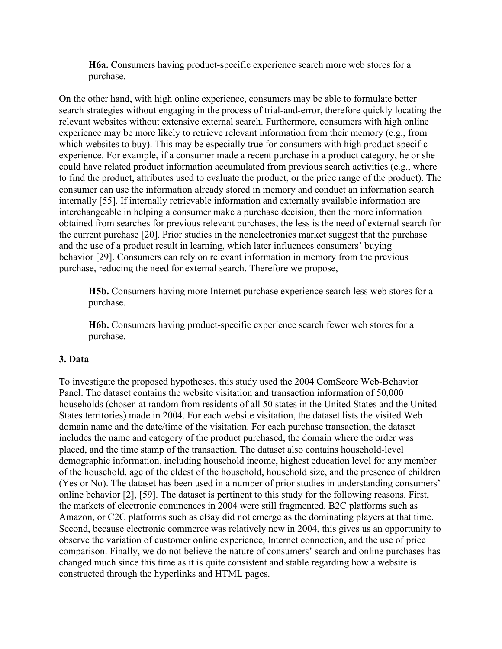**H6a.** Consumers having product-specific experience search more web stores for a purchase.

On the other hand, with high online experience, consumers may be able to formulate better search strategies without engaging in the process of trial-and-error, therefore quickly locating the relevant websites without extensive external search. Furthermore, consumers with high online experience may be more likely to retrieve relevant information from their memory (e.g., from which websites to buy). This may be especially true for consumers with high product-specific experience. For example, if a consumer made a recent purchase in a product category, he or she could have related product information accumulated from previous search activities (e.g., where to find the product, attributes used to evaluate the product, or the price range of the product). The consumer can use the information already stored in memory and conduct an information search internally [55]. If internally retrievable information and externally available information are interchangeable in helping a consumer make a purchase decision, then the more information obtained from searches for previous relevant purchases, the less is the need of external search for the current purchase [20]. Prior studies in the nonelectronics market suggest that the purchase and the use of a product result in learning, which later influences consumers' buying behavior [29]. Consumers can rely on relevant information in memory from the previous purchase, reducing the need for external search. Therefore we propose,

**H5b.** Consumers having more Internet purchase experience search less web stores for a purchase.

**H6b.** Consumers having product-specific experience search fewer web stores for a purchase.

### **3. Data**

To investigate the proposed hypotheses, this study used the 2004 ComScore Web-Behavior Panel. The dataset contains the website visitation and transaction information of 50,000 households (chosen at random from residents of all 50 states in the United States and the United States territories) made in 2004. For each website visitation, the dataset lists the visited Web domain name and the date/time of the visitation. For each purchase transaction, the dataset includes the name and category of the product purchased, the domain where the order was placed, and the time stamp of the transaction. The dataset also contains household-level demographic information, including household income, highest education level for any member of the household, age of the eldest of the household, household size, and the presence of children (Yes or No). The dataset has been used in a number of prior studies in understanding consumers' online behavior [2], [59]. The dataset is pertinent to this study for the following reasons. First, the markets of electronic commences in 2004 were still fragmented. B2C platforms such as Amazon, or C2C platforms such as eBay did not emerge as the dominating players at that time. Second, because electronic commerce was relatively new in 2004, this gives us an opportunity to observe the variation of customer online experience, Internet connection, and the use of price comparison. Finally, we do not believe the nature of consumers' search and online purchases has changed much since this time as it is quite consistent and stable regarding how a website is constructed through the hyperlinks and HTML pages.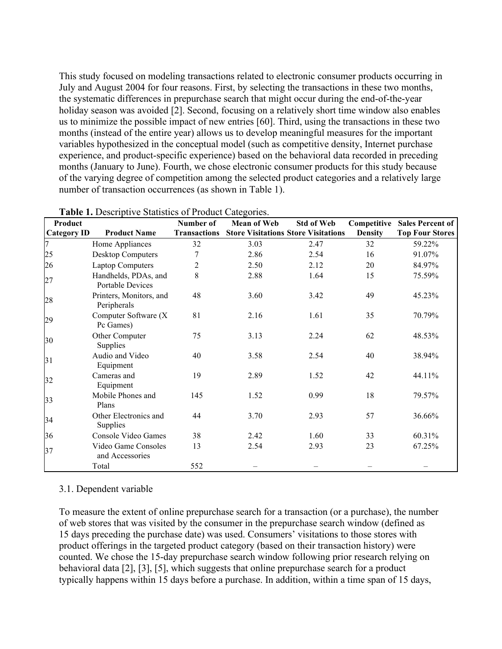This study focused on modeling transactions related to electronic consumer products occurring in July and August 2004 for four reasons. First, by selecting the transactions in these two months, the systematic differences in prepurchase search that might occur during the end-of-the-year holiday season was avoided [2]. Second, focusing on a relatively short time window also enables us to minimize the possible impact of new entries [60]. Third, using the transactions in these two months (instead of the entire year) allows us to develop meaningful measures for the important variables hypothesized in the conceptual model (such as competitive density, Internet purchase experience, and product-specific experience) based on the behavioral data recorded in preceding months (January to June). Fourth, we chose electronic consumer products for this study because of the varying degree of competition among the selected product categories and a relatively large number of transaction occurrences (as shown in Table 1).

| Product            |                                                 | Number of           | <b>Mean of Web</b> | <b>Std of Web</b>                          | Competitive    | <b>Sales Percent of</b> |
|--------------------|-------------------------------------------------|---------------------|--------------------|--------------------------------------------|----------------|-------------------------|
| <b>Category ID</b> | <b>Product Name</b>                             | <b>Transactions</b> |                    | <b>Store Visitations Store Visitations</b> | <b>Density</b> | <b>Top Four Stores</b>  |
| 7                  | Home Appliances                                 | 32                  | 3.03               | 2.47                                       | 32             | 59.22%                  |
| 25                 | Desktop Computers                               |                     | 2.86               | 2.54                                       | 16             | 91.07%                  |
| 26                 | Laptop Computers                                | 2                   | 2.50               | 2.12                                       | 20             | 84.97%                  |
| 27                 | Handhelds, PDAs, and<br><b>Portable Devices</b> | 8                   | 2.88               | 1.64                                       | 15             | 75.59%                  |
| 28                 | Printers, Monitors, and<br>Peripherals          | 48                  | 3.60               | 3.42                                       | 49             | 45.23%                  |
| 29                 | Computer Software (X<br>Pc Games)               | 81                  | 2.16               | 1.61                                       | 35             | 70.79%                  |
| 30                 | Other Computer<br>Supplies                      | 75                  | 3.13               | 2.24                                       | 62             | 48.53%                  |
| 31                 | Audio and Video<br>Equipment                    | 40                  | 3.58               | 2.54                                       | 40             | 38.94%                  |
| 32                 | Cameras and<br>Equipment                        | 19                  | 2.89               | 1.52                                       | 42             | 44.11%                  |
| 33                 | Mobile Phones and<br>Plans                      | 145                 | 1.52               | 0.99                                       | 18             | 79.57%                  |
| 34                 | Other Electronics and<br>Supplies               | 44                  | 3.70               | 2.93                                       | 57             | 36.66%                  |
| 36                 | Console Video Games                             | 38                  | 2.42               | 1.60                                       | 33             | 60.31%                  |
| 37                 | Video Game Consoles<br>and Accessories          | 13                  | 2.54               | 2.93                                       | 23             | 67.25%                  |
|                    | Total                                           | 552                 |                    |                                            |                |                         |

**Table 1.** Descriptive Statistics of Product Categories.

# 3.1. Dependent variable

To measure the extent of online prepurchase search for a transaction (or a purchase), the number of web stores that was visited by the consumer in the prepurchase search window (defined as 15 days preceding the purchase date) was used. Consumers' visitations to those stores with product offerings in the targeted product category (based on their transaction history) were counted. We chose the 15-day prepurchase search window following prior research relying on behavioral data [2], [3], [5], which suggests that online prepurchase search for a product typically happens within 15 days before a purchase. In addition, within a time span of 15 days,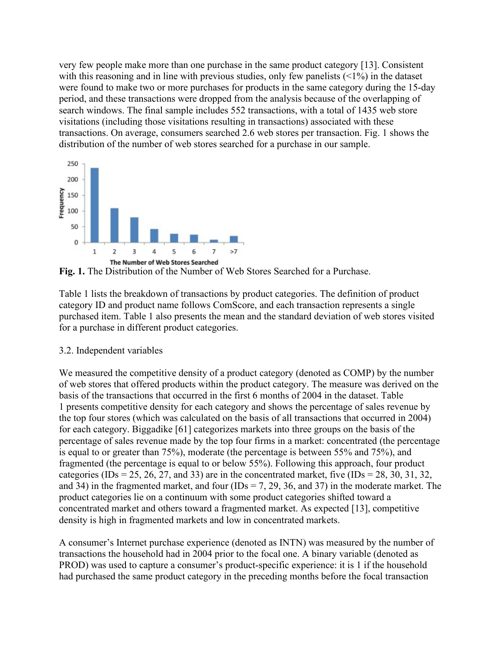very few people make more than one purchase in the same product category [13]. Consistent with this reasoning and in line with previous studies, only few panelists  $(\leq 1\%)$  in the dataset were found to make two or more purchases for products in the same category during the 15-day period, and these transactions were dropped from the analysis because of the overlapping of search windows. The final sample includes 552 transactions, with a total of 1435 web store visitations (including those visitations resulting in transactions) associated with these transactions. On average, consumers searched 2.6 web stores per transaction. Fig. 1 shows the distribution of the number of web stores searched for a purchase in our sample.



**Fig. 1.** The Distribution of the Number of Web Stores Searched for a Purchase.

Table 1 lists the breakdown of transactions by product categories. The definition of product category ID and product name follows ComScore, and each transaction represents a single purchased item. Table 1 also presents the mean and the standard deviation of web stores visited for a purchase in different product categories.

# 3.2. Independent variables

We measured the competitive density of a product category (denoted as COMP) by the number of web stores that offered products within the product category. The measure was derived on the basis of the transactions that occurred in the first 6 months of 2004 in the dataset. Table 1 presents competitive density for each category and shows the percentage of sales revenue by the top four stores (which was calculated on the basis of all transactions that occurred in 2004) for each category. Biggadike [61] categorizes markets into three groups on the basis of the percentage of sales revenue made by the top four firms in a market: concentrated (the percentage is equal to or greater than 75%), moderate (the percentage is between 55% and 75%), and fragmented (the percentage is equal to or below 55%). Following this approach, four product categories (IDs = 25, 26, 27, and 33) are in the concentrated market, five (IDs = 28, 30, 31, 32, and 34) in the fragmented market, and four (IDs = 7, 29, 36, and 37) in the moderate market. The product categories lie on a continuum with some product categories shifted toward a concentrated market and others toward a fragmented market. As expected [13], competitive density is high in fragmented markets and low in concentrated markets.

A consumer's Internet purchase experience (denoted as INTN) was measured by the number of transactions the household had in 2004 prior to the focal one. A binary variable (denoted as PROD) was used to capture a consumer's product-specific experience: it is 1 if the household had purchased the same product category in the preceding months before the focal transaction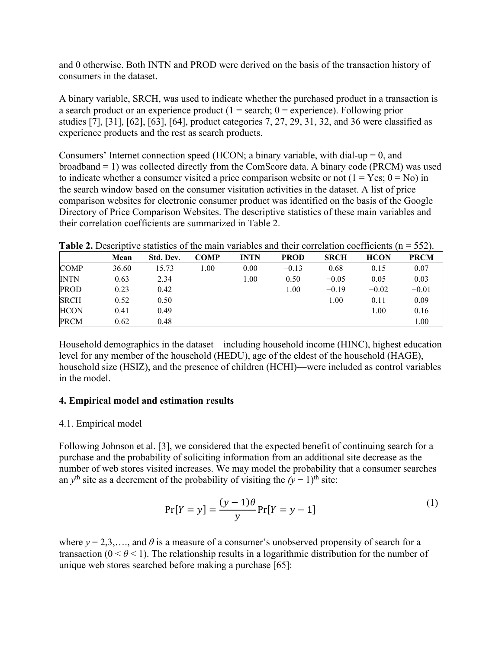and 0 otherwise. Both INTN and PROD were derived on the basis of the transaction history of consumers in the dataset.

A binary variable, SRCH, was used to indicate whether the purchased product in a transaction is a search product or an experience product  $(1 = search; 0 = experience)$ . Following prior studies [7], [31], [62], [63], [64], product categories 7, 27, 29, 31, 32, and 36 were classified as experience products and the rest as search products.

Consumers' Internet connection speed (HCON; a binary variable, with dial-up  $= 0$ , and broadband = 1) was collected directly from the ComScore data. A binary code (PRCM) was used to indicate whether a consumer visited a price comparison website or not  $(1 = Yes; 0 = No)$  in the search window based on the consumer visitation activities in the dataset. A list of price comparison websites for electronic consumer product was identified on the basis of the Google Directory of Price Comparison Websites. The descriptive statistics of these main variables and their correlation coefficients are summarized in Table 2.

|             | Mean  | Std. Dev. | <b>COMP</b> | INTN | <b>PROD</b> | <b>SRCH</b> | <b>HCON</b> | <b>PRCM</b> |
|-------------|-------|-----------|-------------|------|-------------|-------------|-------------|-------------|
| <b>COMP</b> | 36.60 | 15.73     | $1.00\,$    | 0.00 | $-0.13$     | 0.68        | 0.15        | 0.07        |
| <b>INTN</b> | 0.63  | 2.34      |             | 1.00 | 0.50        | $-0.05$     | 0.05        | 0.03        |
| <b>PROD</b> | 0.23  | 0.42      |             |      | 1.00        | $-0.19$     | $-0.02$     | $-0.01$     |
| <b>SRCH</b> | 0.52  | 0.50      |             |      |             | 1.00        | 0.11        | 0.09        |
| <b>HCON</b> | 0.41  | 0.49      |             |      |             |             | 1.00        | 0.16        |
| <b>PRCM</b> | 0.62  | 0.48      |             |      |             |             |             | 1.00        |

Household demographics in the dataset—including household income (HINC), highest education level for any member of the household (HEDU), age of the eldest of the household (HAGE), household size (HSIZ), and the presence of children (HCHI)—were included as control variables in the model.

### **4. Empirical model and estimation results**

### 4.1. Empirical model

Following Johnson et al. [3], we considered that the expected benefit of continuing search for a purchase and the probability of soliciting information from an additional site decrease as the number of web stores visited increases. We may model the probability that a consumer searches an  $y<sup>th</sup>$  site as a decrement of the probability of visiting the  $(y - 1)<sup>th</sup>$  site:

$$
Pr[Y = y] = \frac{(y-1)\theta}{y} Pr[Y = y - 1]
$$
 (1)

 $\overline{\phantom{a}}$ 

where  $y = 2,3,...$ , and  $\theta$  is a measure of a consumer's unobserved propensity of search for a transaction  $(0 < \theta < 1)$ . The relationship results in a logarithmic distribution for the number of unique web stores searched before making a purchase [65]: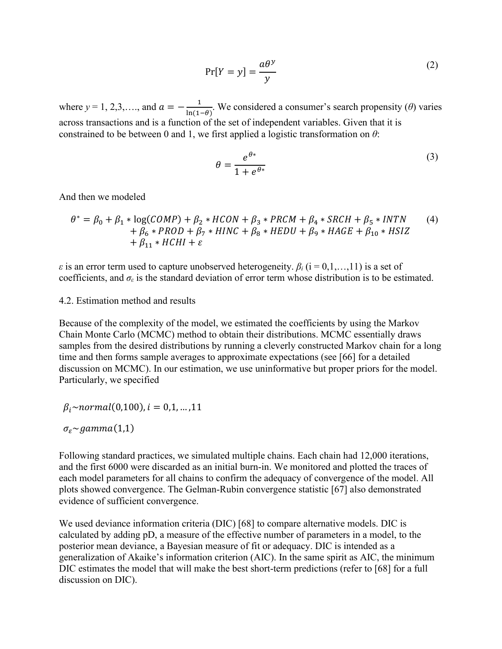$$
\Pr[Y = y] = \frac{a\theta^y}{y}
$$
 (2)

where  $y = 1, 2, 3, \dots$ , and  $a = -\frac{1}{\ln(1-\theta)}$ . We considered a consumer's search propensity ( $\theta$ ) varies across transactions and is a function of the set of independent variables. Given that it is constrained to be between 0 and 1, we first applied a logistic transformation on *θ*:

$$
\theta = \frac{e^{\theta*}}{1 + e^{\theta*}}\tag{3}
$$

And then we modeled

$$
\theta^* = \beta_0 + \beta_1 * \log(COMP) + \beta_2 * HCON + \beta_3 * PRCM + \beta_4 * SRCH + \beta_5 * INTN + \beta_6 * PROD + \beta_7 * HINC + \beta_8 * HEDU + \beta_9 * HAGE + \beta_{10} * HSIZE + \beta_{11} * HCHI + \varepsilon
$$
 (4)

*ε* is an error term used to capture unobserved heterogeneity.  $\beta_i$  (i = 0,1,...,11) is a set of coefficients, and  $\sigma_{\varepsilon}$  is the standard deviation of error term whose distribution is to be estimated.

#### 4.2. Estimation method and results

Because of the complexity of the model, we estimated the coefficients by using the Markov Chain Monte Carlo (MCMC) method to obtain their distributions. MCMC essentially draws samples from the desired distributions by running a cleverly constructed Markov chain for a long time and then forms sample averages to approximate expectations (see [66] for a detailed discussion on MCMC). In our estimation, we use uninformative but proper priors for the model. Particularly, we specified

$$
\beta_i \sim normal(0,100), i = 0,1,...,11
$$

$$
\sigma_{\varepsilon} \sim gamma(1,1)
$$

Following standard practices, we simulated multiple chains. Each chain had 12,000 iterations, and the first 6000 were discarded as an initial burn-in. We monitored and plotted the traces of each model parameters for all chains to confirm the adequacy of convergence of the model. All plots showed convergence. The Gelman-Rubin convergence statistic [67] also demonstrated evidence of sufficient convergence.

We used deviance information criteria (DIC) [68] to compare alternative models. DIC is calculated by adding pD, a measure of the effective number of parameters in a model, to the posterior mean deviance, a Bayesian measure of fit or adequacy. DIC is intended as a generalization of Akaike's information criterion (AIC). In the same spirit as AIC, the minimum DIC estimates the model that will make the best short-term predictions (refer to [68] for a full discussion on DIC).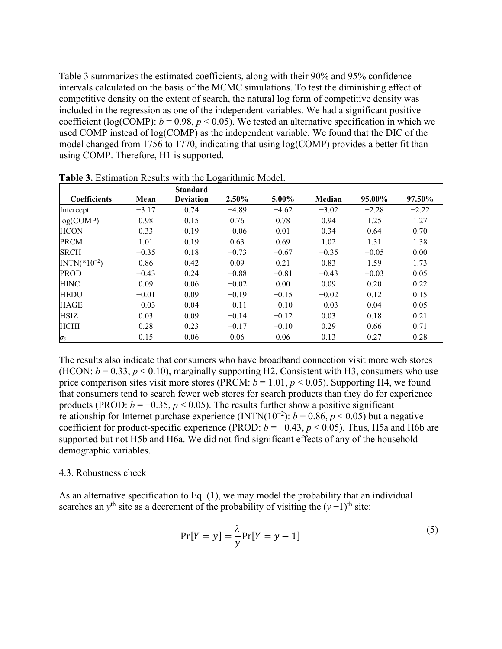Table 3 summarizes the estimated coefficients, along with their 90% and 95% confidence intervals calculated on the basis of the MCMC simulations. To test the diminishing effect of competitive density on the extent of search, the natural log form of competitive density was included in the regression as one of the independent variables. We had a significant positive coefficient (log(COMP):  $b = 0.98$ ,  $p < 0.05$ ). We tested an alternative specification in which we used COMP instead of log(COMP) as the independent variable. We found that the DIC of the model changed from 1756 to 1770, indicating that using log(COMP) provides a better fit than using COMP. Therefore, H1 is supported.

|                        |         | <b>Standard</b>  |         |          |         |         |         |
|------------------------|---------|------------------|---------|----------|---------|---------|---------|
| <b>Coefficients</b>    | Mean    | <b>Deviation</b> | 2.50%   | $5.00\%$ | Median  | 95.00%  | 97.50%  |
| Intercept              | $-3.17$ | 0.74             | $-4.89$ | $-4.62$  | $-3.02$ | $-2.28$ | $-2.22$ |
| log(COMP)              | 0.98    | 0.15             | 0.76    | 0.78     | 0.94    | 1.25    | 1.27    |
| <b>HCON</b>            | 0.33    | 0.19             | $-0.06$ | 0.01     | 0.34    | 0.64    | 0.70    |
| <b>PRCM</b>            | 1.01    | 0.19             | 0.63    | 0.69     | 1.02    | 1.31    | 1.38    |
| <b>SRCH</b>            | $-0.35$ | 0.18             | $-0.73$ | $-0.67$  | $-0.35$ | $-0.05$ | 0.00    |
| $INTN(*10^{-2})$       | 0.86    | 0.42             | 0.09    | 0.21     | 0.83    | 1.59    | 1.73    |
| <b>PROD</b>            | $-0.43$ | 0.24             | $-0.88$ | $-0.81$  | $-0.43$ | $-0.03$ | 0.05    |
| <b>HINC</b>            | 0.09    | 0.06             | $-0.02$ | 0.00     | 0.09    | 0.20    | 0.22    |
| <b>HEDU</b>            | $-0.01$ | 0.09             | $-0.19$ | $-0.15$  | $-0.02$ | 0.12    | 0.15    |
| <b>HAGE</b>            | $-0.03$ | 0.04             | $-0.11$ | $-0.10$  | $-0.03$ | 0.04    | 0.05    |
| <b>HSIZ</b>            | 0.03    | 0.09             | $-0.14$ | $-0.12$  | 0.03    | 0.18    | 0.21    |
| <b>HCHI</b>            | 0.28    | 0.23             | $-0.17$ | $-0.10$  | 0.29    | 0.66    | 0.71    |
| $\sigma_{\varepsilon}$ | 0.15    | 0.06             | 0.06    | 0.06     | 0.13    | 0.27    | 0.28    |

**Table 3.** Estimation Results with the Logarithmic Model.

The results also indicate that consumers who have broadband connection visit more web stores (HCON:  $b = 0.33$ ,  $p < 0.10$ ), marginally supporting H2. Consistent with H3, consumers who use price comparison sites visit more stores (PRCM:  $b = 1.01$ ,  $p < 0.05$ ). Supporting H4, we found that consumers tend to search fewer web stores for search products than they do for experience products (PROD:  $b = -0.35$ ,  $p < 0.05$ ). The results further show a positive significant relationship for Internet purchase experience (INTN( $10^{-2}$ ):  $b = 0.86$ ,  $p < 0.05$ ) but a negative coefficient for product-specific experience (PROD:  $b = -0.43$ ,  $p < 0.05$ ). Thus, H5a and H6b are supported but not H5b and H6a. We did not find significant effects of any of the household demographic variables.

#### 4.3. Robustness check

As an alternative specification to Eq. (1), we may model the probability that an individual searches an  $y<sup>th</sup>$  site as a decrement of the probability of visiting the  $(y-1)<sup>th</sup>$  site:

$$
\Pr[Y = y] = \frac{\lambda}{y} \Pr[Y = y - 1]
$$
\n(5)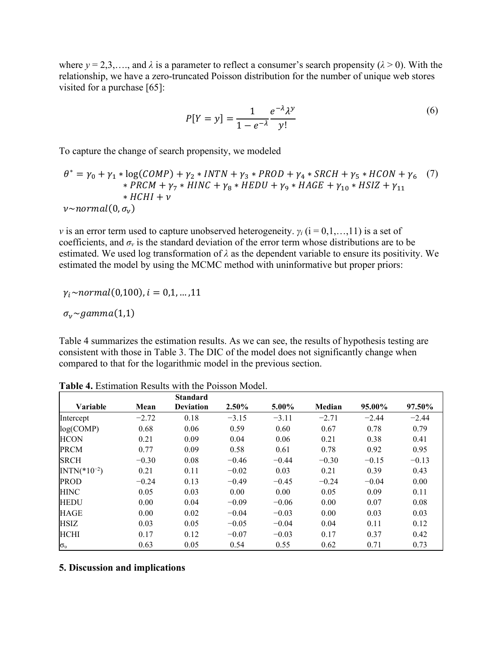where  $y = 2,3,...$ , and  $\lambda$  is a parameter to reflect a consumer's search propensity ( $\lambda > 0$ ). With the relationship, we have a zero-truncated Poisson distribution for the number of unique web stores visited for a purchase [65]:

$$
P[Y = y] = \frac{1}{1 - e^{-\lambda}} \frac{e^{-\lambda} \lambda^y}{y!}
$$
\n<sup>(6)</sup>

To capture the change of search propensity, we modeled

$$
\theta^* = \gamma_0 + \gamma_1 * \log(COMP) + \gamma_2 * INTN + \gamma_3 * PROD + \gamma_4 * SRCH + \gamma_5 * HCON + \gamma_6 \quad (7)
$$
  
\n\* *PRCM* + \gamma\_7 \* HINC + \gamma\_8 \* HEDU + \gamma\_9 \* HAGE + \gamma\_{10} \* HSIZE + \gamma\_{11}  
\n\* *HCHI* + *v*  
\n $v \sim normal(0, \sigma_v)$ 

*ν* is an error term used to capture unobserved heterogeneity.  $\gamma_i$  (i = 0,1,...,11) is a set of coefficients, and  $\sigma_v$  is the standard deviation of the error term whose distributions are to be estimated. We used log transformation of *λ* as the dependent variable to ensure its positivity. We estimated the model by using the MCMC method with uninformative but proper priors:

$$
\gamma_i \sim normal(0,100), i = 0,1,...,11
$$

$$
\sigma_{\nu} \sim gamma(1,1)
$$

Table 4 summarizes the estimation results. As we can see, the results of hypothesis testing are consistent with those in Table 3. The DIC of the model does not significantly change when compared to that for the logarithmic model in the previous section.

|                  |         | <b>Standard</b>  |         |         |         |         |         |
|------------------|---------|------------------|---------|---------|---------|---------|---------|
| Variable         | Mean    | <b>Deviation</b> | 2.50%   | 5.00%   | Median  | 95.00%  | 97.50%  |
| Intercept        | $-2.72$ | 0.18             | $-3.15$ | $-3.11$ | $-2.71$ | $-2.44$ | $-2.44$ |
| log(COMP)        | 0.68    | 0.06             | 0.59    | 0.60    | 0.67    | 0.78    | 0.79    |
| <b>HCON</b>      | 0.21    | 0.09             | 0.04    | 0.06    | 0.21    | 0.38    | 0.41    |
| <b>PRCM</b>      | 0.77    | 0.09             | 0.58    | 0.61    | 0.78    | 0.92    | 0.95    |
| <b>SRCH</b>      | $-0.30$ | 0.08             | $-0.46$ | $-0.44$ | $-0.30$ | $-0.15$ | $-0.13$ |
| $INTN(*10^{-2})$ | 0.21    | 0.11             | $-0.02$ | 0.03    | 0.21    | 0.39    | 0.43    |
| <b>PROD</b>      | $-0.24$ | 0.13             | $-0.49$ | $-0.45$ | $-0.24$ | $-0.04$ | 0.00    |
| <b>HINC</b>      | 0.05    | 0.03             | 0.00    | 0.00    | 0.05    | 0.09    | 0.11    |
| <b>HEDU</b>      | 0.00    | 0.04             | $-0.09$ | $-0.06$ | 0.00    | 0.07    | 0.08    |
| <b>HAGE</b>      | 0.00    | 0.02             | $-0.04$ | $-0.03$ | 0.00    | 0.03    | 0.03    |
| <b>HSIZ</b>      | 0.03    | 0.05             | $-0.05$ | $-0.04$ | 0.04    | 0.11    | 0.12    |
| <b>HCHI</b>      | 0.17    | 0.12             | $-0.07$ | $-0.03$ | 0.17    | 0.37    | 0.42    |
| $\sigma_{v}$     | 0.63    | 0.05             | 0.54    | 0.55    | 0.62    | 0.71    | 0.73    |

**Table 4.** Estimation Results with the Poisson Model.

### **5. Discussion and implications**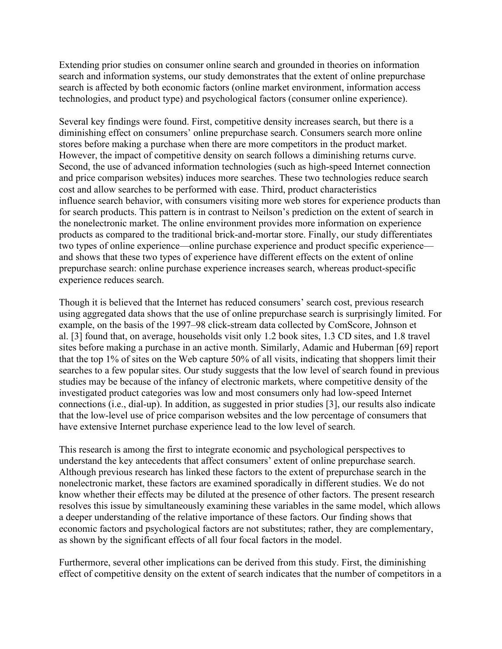Extending prior studies on consumer online search and grounded in theories on information search and information systems, our study demonstrates that the extent of online prepurchase search is affected by both economic factors (online market environment, information access technologies, and product type) and psychological factors (consumer online experience).

Several key findings were found. First, competitive density increases search, but there is a diminishing effect on consumers' online prepurchase search. Consumers search more online stores before making a purchase when there are more competitors in the product market. However, the impact of competitive density on search follows a diminishing returns curve. Second, the use of advanced information technologies (such as high-speed Internet connection and price comparison websites) induces more searches. These two technologies reduce search cost and allow searches to be performed with ease. Third, product characteristics influence search behavior, with consumers visiting more web stores for experience products than for search products. This pattern is in contrast to Neilson's prediction on the extent of search in the nonelectronic market. The online environment provides more information on experience products as compared to the traditional brick-and-mortar store. Finally, our study differentiates two types of online experience—online purchase experience and product specific experience and shows that these two types of experience have different effects on the extent of online prepurchase search: online purchase experience increases search, whereas product-specific experience reduces search.

Though it is believed that the Internet has reduced consumers' search cost, previous research using aggregated data shows that the use of online prepurchase search is surprisingly limited. For example, on the basis of the 1997–98 click-stream data collected by ComScore, Johnson et al. [3] found that, on average, households visit only 1.2 book sites, 1.3 CD sites, and 1.8 travel sites before making a purchase in an active month. Similarly, Adamic and Huberman [69] report that the top 1% of sites on the Web capture 50% of all visits, indicating that shoppers limit their searches to a few popular sites. Our study suggests that the low level of search found in previous studies may be because of the infancy of electronic markets, where competitive density of the investigated product categories was low and most consumers only had low-speed Internet connections (i.e., dial-up). In addition, as suggested in prior studies [3], our results also indicate that the low-level use of price comparison websites and the low percentage of consumers that have extensive Internet purchase experience lead to the low level of search.

This research is among the first to integrate economic and psychological perspectives to understand the key antecedents that affect consumers' extent of online prepurchase search. Although previous research has linked these factors to the extent of prepurchase search in the nonelectronic market, these factors are examined sporadically in different studies. We do not know whether their effects may be diluted at the presence of other factors. The present research resolves this issue by simultaneously examining these variables in the same model, which allows a deeper understanding of the relative importance of these factors. Our finding shows that economic factors and psychological factors are not substitutes; rather, they are complementary, as shown by the significant effects of all four focal factors in the model.

Furthermore, several other implications can be derived from this study. First, the diminishing effect of competitive density on the extent of search indicates that the number of competitors in a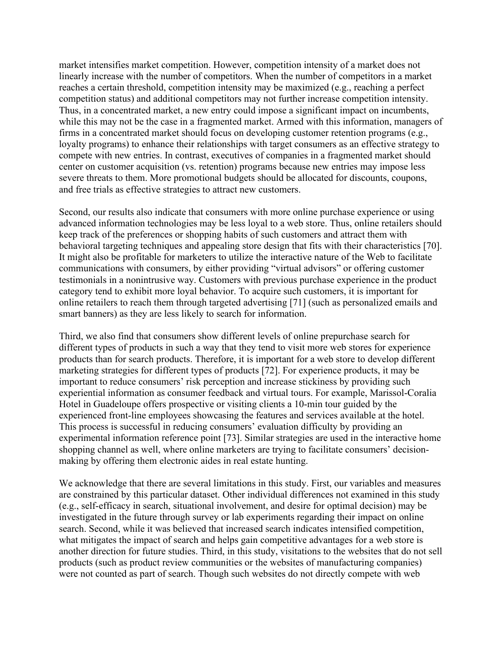market intensifies market competition. However, competition intensity of a market does not linearly increase with the number of competitors. When the number of competitors in a market reaches a certain threshold, competition intensity may be maximized (e.g., reaching a perfect competition status) and additional competitors may not further increase competition intensity. Thus, in a concentrated market, a new entry could impose a significant impact on incumbents, while this may not be the case in a fragmented market. Armed with this information, managers of firms in a concentrated market should focus on developing customer retention programs (e.g., loyalty programs) to enhance their relationships with target consumers as an effective strategy to compete with new entries. In contrast, executives of companies in a fragmented market should center on customer acquisition (vs. retention) programs because new entries may impose less severe threats to them. More promotional budgets should be allocated for discounts, coupons, and free trials as effective strategies to attract new customers.

Second, our results also indicate that consumers with more online purchase experience or using advanced information technologies may be less loyal to a web store. Thus, online retailers should keep track of the preferences or shopping habits of such customers and attract them with behavioral targeting techniques and appealing store design that fits with their characteristics [70]. It might also be profitable for marketers to utilize the interactive nature of the Web to facilitate communications with consumers, by either providing "virtual advisors" or offering customer testimonials in a nonintrusive way. Customers with previous purchase experience in the product category tend to exhibit more loyal behavior. To acquire such customers, it is important for online retailers to reach them through targeted advertising [71] (such as personalized emails and smart banners) as they are less likely to search for information.

Third, we also find that consumers show different levels of online prepurchase search for different types of products in such a way that they tend to visit more web stores for experience products than for search products. Therefore, it is important for a web store to develop different marketing strategies for different types of products [72]. For experience products, it may be important to reduce consumers' risk perception and increase stickiness by providing such experiential information as consumer feedback and virtual tours. For example, Marissol-Coralia Hotel in Guadeloupe offers prospective or visiting clients a 10-min tour guided by the experienced front-line employees showcasing the features and services available at the hotel. This process is successful in reducing consumers' evaluation difficulty by providing an experimental information reference point [73]. Similar strategies are used in the interactive home shopping channel as well, where online marketers are trying to facilitate consumers' decisionmaking by offering them electronic aides in real estate hunting.

We acknowledge that there are several limitations in this study. First, our variables and measures are constrained by this particular dataset. Other individual differences not examined in this study (e.g., self-efficacy in search, situational involvement, and desire for optimal decision) may be investigated in the future through survey or lab experiments regarding their impact on online search. Second, while it was believed that increased search indicates intensified competition, what mitigates the impact of search and helps gain competitive advantages for a web store is another direction for future studies. Third, in this study, visitations to the websites that do not sell products (such as product review communities or the websites of manufacturing companies) were not counted as part of search. Though such websites do not directly compete with web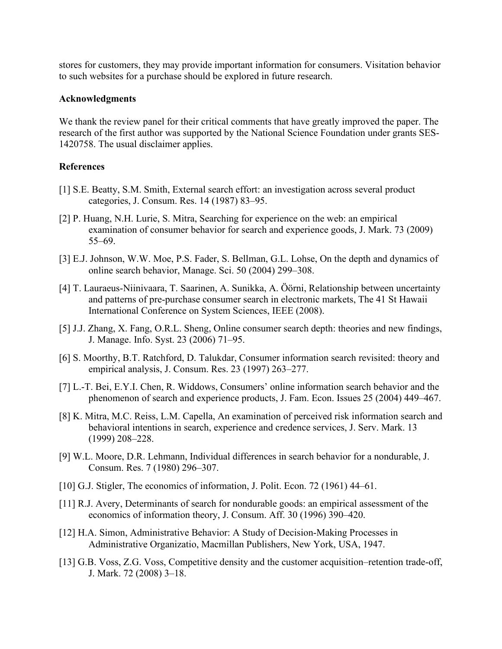stores for customers, they may provide important information for consumers. Visitation behavior to such websites for a purchase should be explored in future research.

#### **Acknowledgments**

We thank the review panel for their critical comments that have greatly improved the paper. The research of the first author was supported by the National Science Foundation under grants SES-1420758. The usual disclaimer applies.

#### **References**

- [1] S.E. Beatty, S.M. Smith, External search effort: an investigation across several product categories, J. Consum. Res. 14 (1987) 83–95.
- [2] P. Huang, N.H. Lurie, S. Mitra, Searching for experience on the web: an empirical examination of consumer behavior for search and experience goods, J. Mark. 73 (2009) 55–69.
- [3] E.J. Johnson, W.W. Moe, P.S. Fader, S. Bellman, G.L. Lohse, On the depth and dynamics of online search behavior, Manage. Sci. 50 (2004) 299–308.
- [4] T. Lauraeus-Niinivaara, T. Saarinen, A. Sunikka, A. Öörni, Relationship between uncertainty and patterns of pre-purchase consumer search in electronic markets, The 41 St Hawaii International Conference on System Sciences, IEEE (2008).
- [5] J.J. Zhang, X. Fang, O.R.L. Sheng, Online consumer search depth: theories and new findings, J. Manage. Info. Syst. 23 (2006) 71–95.
- [6] S. Moorthy, B.T. Ratchford, D. Talukdar, Consumer information search revisited: theory and empirical analysis, J. Consum. Res. 23 (1997) 263–277.
- [7] L.-T. Bei, E.Y.I. Chen, R. Widdows, Consumers' online information search behavior and the phenomenon of search and experience products, J. Fam. Econ. Issues 25 (2004) 449–467.
- [8] K. Mitra, M.C. Reiss, L.M. Capella, An examination of perceived risk information search and behavioral intentions in search, experience and credence services, J. Serv. Mark. 13 (1999) 208–228.
- [9] W.L. Moore, D.R. Lehmann, Individual differences in search behavior for a nondurable, J. Consum. Res. 7 (1980) 296–307.
- [10] G.J. Stigler, The economics of information, J. Polit. Econ. 72 (1961) 44–61.
- [11] R.J. Avery, Determinants of search for nondurable goods: an empirical assessment of the economics of information theory, J. Consum. Aff. 30 (1996) 390–420.
- [12] H.A. Simon, Administrative Behavior: A Study of Decision-Making Processes in Administrative Organizatio, Macmillan Publishers, New York, USA, 1947.
- [13] G.B. Voss, Z.G. Voss, Competitive density and the customer acquisition–retention trade-off, J. Mark. 72 (2008) 3–18.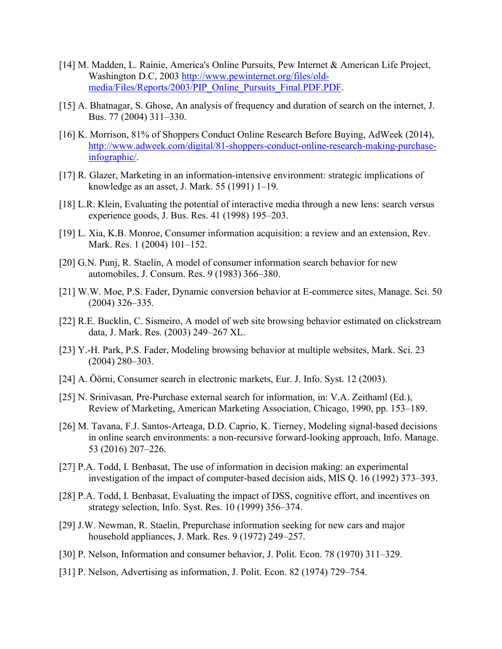- [14] M. Madden, L. Rainie, America's Online Pursuits, Pew Internet & American Life Project, Washington D.C, 2003 [http://www.pewinternet.org/files/old](http://www.pewinternet.org/files/old-media/Files/Reports/2003/PIP_Online_Pursuits_Final.PDF.PDF)[media/Files/Reports/2003/PIP\\_Online\\_Pursuits\\_Final.PDF.PDF.](http://www.pewinternet.org/files/old-media/Files/Reports/2003/PIP_Online_Pursuits_Final.PDF.PDF)
- [15] A. Bhatnagar, S. Ghose, An analysis of frequency and duration of search on the internet, J. Bus. 77 (2004) 311–330.
- [16] K. Morrison, 81% of Shoppers Conduct Online Research Before Buying, AdWeek (2014), [http://www.adweek.com/digital/81-shoppers-conduct-online-research-making-purchase](http://www.adweek.com/digital/81-shoppers-conduct-online-research-making-purchase-infographic/)[infographic/.](http://www.adweek.com/digital/81-shoppers-conduct-online-research-making-purchase-infographic/)
- [17] R. Glazer, Marketing in an information-intensive environment: strategic implications of knowledge as an asset, J. Mark. 55 (1991) 1–19.
- [18] L.R. Klein, Evaluating the potential of interactive media through a new lens: search versus experience goods, J. Bus. Res. 41 (1998) 195–203.
- [19] L. Xia, K.B. Monroe, Consumer information acquisition: a review and an extension, Rev. Mark. Res. 1 (2004) 101–152.
- [20] G.N. Punj, R. Staelin, A model of consumer information search behavior for new automobiles, J. Consum. Res. 9 (1983) 366–380.
- [21] W.W. Moe, P.S. Fader, Dynamic conversion behavior at E-commerce sites, Manage. Sci. 50 (2004) 326–335.
- [22] R.E. Bucklin, C. Sismeiro, A model of web site browsing behavior estimated on clickstream data, J. Mark. Res. (2003) 249–267 XL.
- [23] Y.-H. Park, P.S. Fader, Modeling browsing behavior at multiple websites, Mark. Sci. 23 (2004) 280–303.
- [24] A. Öörni, Consumer search in electronic markets, Eur. J. Info. Syst. 12 (2003).
- [25] N. Srinivasan, Pre-Purchase external search for information, in: V.A. Zeithaml (Ed.), Review of Marketing, American Marketing Association, Chicago, 1990, pp. 153–189.
- [26] M. Tavana, F.J. Santos-Arteaga, D.D. Caprio, K. Tierney, Modeling signal-based decisions in online search environments: a non-recursive forward-looking approach, Info. Manage. 53 (2016) 207–226.
- [27] P.A. Todd, I. Benbasat, The use of information in decision making: an experimental investigation of the impact of computer-based decision aids, MIS Q. 16 (1992) 373–393.
- [28] P.A. Todd, I. Benbasat, Evaluating the impact of DSS, cognitive effort, and incentives on strategy selection, Info. Syst. Res. 10 (1999) 356–374.
- [29] J.W. Newman, R. Staelin, Prepurchase information seeking for new cars and major household appliances, J. Mark. Res. 9 (1972) 249–257.
- [30] P. Nelson, Information and consumer behavior, J. Polit. Econ. 78 (1970) 311–329.
- [31] P. Nelson, Advertising as information, J. Polit. Econ. 82 (1974) 729–754.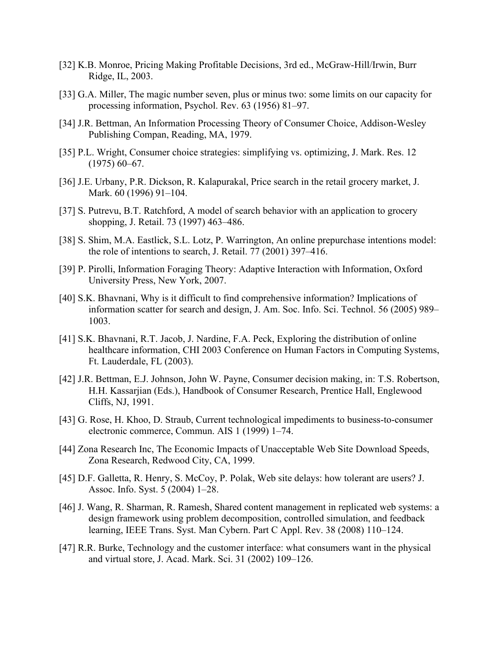- [32] K.B. Monroe, Pricing Making Profitable Decisions, 3rd ed., McGraw-Hill/Irwin, Burr Ridge, IL, 2003.
- [33] G.A. Miller, The magic number seven, plus or minus two: some limits on our capacity for processing information, Psychol. Rev. 63 (1956) 81–97.
- [34] J.R. Bettman, An Information Processing Theory of Consumer Choice, Addison-Wesley Publishing Compan, Reading, MA, 1979.
- [35] P.L. Wright, Consumer choice strategies: simplifying vs. optimizing, J. Mark. Res. 12 (1975) 60–67.
- [36] J.E. Urbany, P.R. Dickson, R. Kalapurakal, Price search in the retail grocery market, J. Mark. 60 (1996) 91–104.
- [37] S. Putrevu, B.T. Ratchford, A model of search behavior with an application to grocery shopping, J. Retail. 73 (1997) 463–486.
- [38] S. Shim, M.A. Eastlick, S.L. Lotz, P. Warrington, An online prepurchase intentions model: the role of intentions to search, J. Retail. 77 (2001) 397–416.
- [39] P. Pirolli, Information Foraging Theory: Adaptive Interaction with Information, Oxford University Press, New York, 2007.
- [40] S.K. Bhavnani, Why is it difficult to find comprehensive information? Implications of information scatter for search and design, J. Am. Soc. Info. Sci. Technol. 56 (2005) 989– 1003.
- [41] S.K. Bhavnani, R.T. Jacob, J. Nardine, F.A. Peck, Exploring the distribution of online healthcare information, CHI 2003 Conference on Human Factors in Computing Systems, Ft. Lauderdale, FL (2003).
- [42] J.R. Bettman, E.J. Johnson, John W. Payne, Consumer decision making, in: T.S. Robertson, H.H. Kassarjian (Eds.), Handbook of Consumer Research, Prentice Hall, Englewood Cliffs, NJ, 1991.
- [43] G. Rose, H. Khoo, D. Straub, Current technological impediments to business-to-consumer electronic commerce, Commun. AIS 1 (1999) 1–74.
- [44] Zona Research Inc, The Economic Impacts of Unacceptable Web Site Download Speeds, Zona Research, Redwood City, CA, 1999.
- [45] D.F. Galletta, R. Henry, S. McCoy, P. Polak, Web site delays: how tolerant are users? J. Assoc. Info. Syst. 5 (2004) 1–28.
- [46] J. Wang, R. Sharman, R. Ramesh, Shared content management in replicated web systems: a design framework using problem decomposition, controlled simulation, and feedback learning, IEEE Trans. Syst. Man Cybern. Part C Appl. Rev. 38 (2008) 110–124.
- [47] R.R. Burke, Technology and the customer interface: what consumers want in the physical and virtual store, J. Acad. Mark. Sci. 31 (2002) 109–126.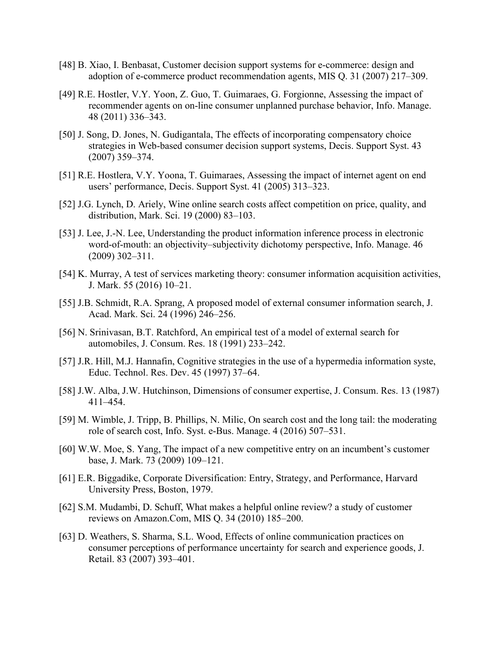- [48] B. Xiao, I. Benbasat, Customer decision support systems for e-commerce: design and adoption of e-commerce product recommendation agents, MIS Q. 31 (2007) 217–309.
- [49] R.E. Hostler, V.Y. Yoon, Z. Guo, T. Guimaraes, G. Forgionne, Assessing the impact of recommender agents on on-line consumer unplanned purchase behavior, Info. Manage. 48 (2011) 336–343.
- [50] J. Song, D. Jones, N. Gudigantala, The effects of incorporating compensatory choice strategies in Web-based consumer decision support systems, Decis. Support Syst. 43 (2007) 359–374.
- [51] R.E. Hostlera, V.Y. Yoona, T. Guimaraes, Assessing the impact of internet agent on end users' performance, Decis. Support Syst. 41 (2005) 313–323.
- [52] J.G. Lynch, D. Ariely, Wine online search costs affect competition on price, quality, and distribution, Mark. Sci. 19 (2000) 83–103.
- [53] J. Lee, J.-N. Lee, Understanding the product information inference process in electronic word-of-mouth: an objectivity–subjectivity dichotomy perspective, Info. Manage. 46 (2009) 302–311.
- [54] K. Murray, A test of services marketing theory: consumer information acquisition activities, J. Mark. 55 (2016) 10–21.
- [55] J.B. Schmidt, R.A. Sprang, A proposed model of external consumer information search, J. Acad. Mark. Sci. 24 (1996) 246–256.
- [56] N. Srinivasan, B.T. Ratchford, An empirical test of a model of external search for automobiles, J. Consum. Res. 18 (1991) 233–242.
- [57] J.R. Hill, M.J. Hannafin, Cognitive strategies in the use of a hypermedia information syste, Educ. Technol. Res. Dev. 45 (1997) 37–64.
- [58] J.W. Alba, J.W. Hutchinson, Dimensions of consumer expertise, J. Consum. Res. 13 (1987) 411–454.
- [59] M. Wimble, J. Tripp, B. Phillips, N. Milic, On search cost and the long tail: the moderating role of search cost, Info. Syst. e-Bus. Manage. 4 (2016) 507–531.
- [60] W.W. Moe, S. Yang, The impact of a new competitive entry on an incumbent's customer base, J. Mark. 73 (2009) 109–121.
- [61] E.R. Biggadike, Corporate Diversification: Entry, Strategy, and Performance, Harvard University Press, Boston, 1979.
- [62] S.M. Mudambi, D. Schuff, What makes a helpful online review? a study of customer reviews on Amazon.Com, MIS Q. 34 (2010) 185–200.
- [63] D. Weathers, S. Sharma, S.L. Wood, Effects of online communication practices on consumer perceptions of performance uncertainty for search and experience goods, J. Retail. 83 (2007) 393–401.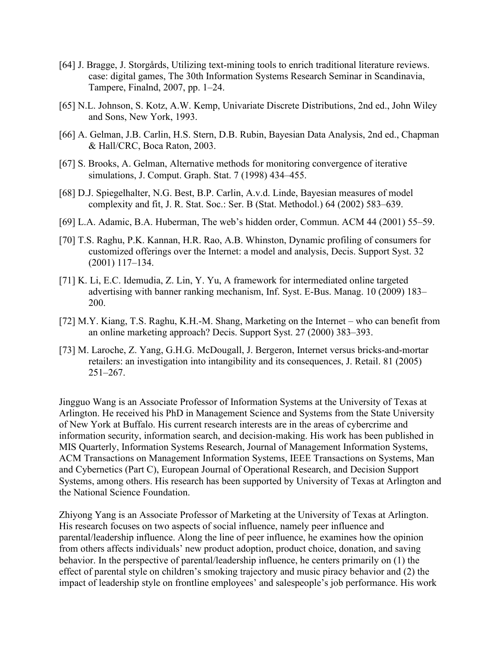- [64] J. Bragge, J. Storgårds, Utilizing text-mining tools to enrich traditional literature reviews. case: digital games, The 30th Information Systems Research Seminar in Scandinavia, Tampere, Finalnd, 2007, pp. 1–24.
- [65] N.L. Johnson, S. Kotz, A.W. Kemp, Univariate Discrete Distributions, 2nd ed., John Wiley and Sons, New York, 1993.
- [66] A. Gelman, J.B. Carlin, H.S. Stern, D.B. Rubin, Bayesian Data Analysis, 2nd ed., Chapman & Hall/CRC, Boca Raton, 2003.
- [67] S. Brooks, A. Gelman, Alternative methods for monitoring convergence of iterative simulations, J. Comput. Graph. Stat. 7 (1998) 434–455.
- [68] D.J. Spiegelhalter, N.G. Best, B.P. Carlin, A.v.d. Linde, Bayesian measures of model complexity and fit, J. R. Stat. Soc.: Ser. B (Stat. Methodol.) 64 (2002) 583–639.
- [69] L.A. Adamic, B.A. Huberman, The web's hidden order, Commun. ACM 44 (2001) 55–59.
- [70] T.S. Raghu, P.K. Kannan, H.R. Rao, A.B. Whinston, Dynamic profiling of consumers for customized offerings over the Internet: a model and analysis, Decis. Support Syst. 32 (2001) 117–134.
- [71] K. Li, E.C. Idemudia, Z. Lin, Y. Yu, A framework for intermediated online targeted advertising with banner ranking mechanism, Inf. Syst. E-Bus. Manag. 10 (2009) 183– 200.
- [72] M.Y. Kiang, T.S. Raghu, K.H.-M. Shang, Marketing on the Internet who can benefit from an online marketing approach? Decis. Support Syst. 27 (2000) 383–393.
- [73] M. Laroche, Z. Yang, G.H.G. McDougall, J. Bergeron, Internet versus bricks-and-mortar retailers: an investigation into intangibility and its consequences, J. Retail. 81 (2005) 251–267.

Jingguo Wang is an Associate Professor of Information Systems at the University of Texas at Arlington. He received his PhD in Management Science and Systems from the State University of New York at Buffalo. His current research interests are in the areas of cybercrime and information security, information search, and decision-making. His work has been published in MIS Quarterly, Information Systems Research, Journal of Management Information Systems, ACM Transactions on Management Information Systems, IEEE Transactions on Systems, Man and Cybernetics (Part C), European Journal of Operational Research, and Decision Support Systems, among others. His research has been supported by University of Texas at Arlington and the National Science Foundation.

Zhiyong Yang is an Associate Professor of Marketing at the University of Texas at Arlington. His research focuses on two aspects of social influence, namely peer influence and parental/leadership influence. Along the line of peer influence, he examines how the opinion from others affects individuals' new product adoption, product choice, donation, and saving behavior. In the perspective of parental/leadership influence, he centers primarily on (1) the effect of parental style on children's smoking trajectory and music piracy behavior and (2) the impact of leadership style on frontline employees' and salespeople's job performance. His work